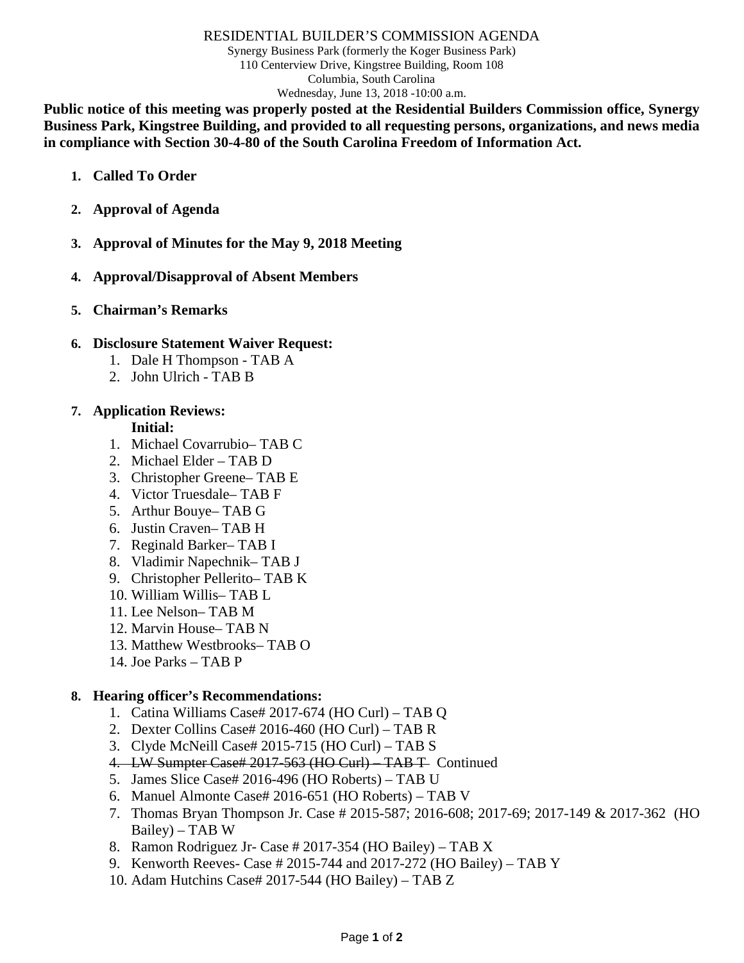#### RESIDENTIAL BUILDER'S COMMISSION AGENDA

Synergy Business Park (formerly the Koger Business Park) 110 Centerview Drive, Kingstree Building, Room 108 Columbia, South Carolina Wednesday, June 13, 2018 -10:00 a.m.

**Public notice of this meeting was properly posted at the Residential Builders Commission office, Synergy Business Park, Kingstree Building, and provided to all requesting persons, organizations, and news media in compliance with Section 30-4-80 of the South Carolina Freedom of Information Act.**

- **1. Called To Order**
- **2. Approval of Agenda**
- **3. Approval of Minutes for the May 9, 2018 Meeting**
- **4. Approval/Disapproval of Absent Members**
- **5. Chairman's Remarks**

#### **6. Disclosure Statement Waiver Request:**

- 1. Dale H Thompson TAB A
- 2. John Ulrich TAB B

## **7. Application Reviews:**

**Initial:**

- 1. Michael Covarrubio– TAB C
- 2. Michael Elder TAB D
- 3. Christopher Greene– TAB E
- 4. Victor Truesdale– TAB F
- 5. Arthur Bouye– TAB G
- 6. Justin Craven– TAB H
- 7. Reginald Barker– TAB I
- 8. Vladimir Napechnik– TAB J
- 9. Christopher Pellerito– TAB K
- 10. William Willis– TAB L
- 11. Lee Nelson– TAB M
- 12. Marvin House– TAB N
- 13. Matthew Westbrooks– TAB O
- 14. Joe Parks TAB P

### **8. Hearing officer's Recommendations:**

- 1. Catina Williams Case# 2017-674 (HO Curl) TAB Q
- 2. Dexter Collins Case# 2016-460 (HO Curl) TAB R
- 3. Clyde McNeill Case# 2015-715 (HO Curl) TAB S
- 4. LW Sumpter Case# 2017-563 (HO Curl) TAB T- Continued
- 5. James Slice Case# 2016-496 (HO Roberts) TAB U
- 6. Manuel Almonte Case# 2016-651 (HO Roberts) TAB V
- 7. Thomas Bryan Thompson Jr. Case # 2015-587; 2016-608; 2017-69; 2017-149 & 2017-362 (HO Bailey) – TAB W
- 8. Ramon Rodriguez Jr- Case # 2017-354 (HO Bailey) TAB X
- 9. Kenworth Reeves- Case # 2015-744 and 2017-272 (HO Bailey) TAB Y
- 10. Adam Hutchins Case# 2017-544 (HO Bailey) TAB Z